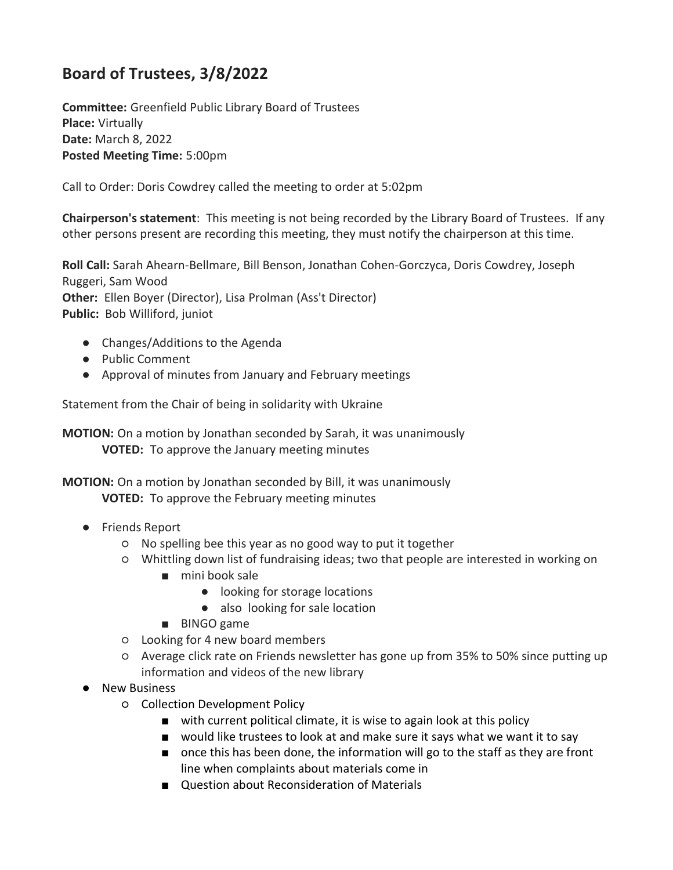## **Board of Trustees, 3/8/2022**

**Committee:** Greenfield Public Library Board of Trustees **Place:** Virtually **Date:** March 8, 2022 **Posted Meeting Time:** 5:00pm

Call to Order: Doris Cowdrey called the meeting to order at 5:02pm

**Chairperson's statement**: This meeting is not being recorded by the Library Board of Trustees. If any other persons present are recording this meeting, they must notify the chairperson at this time.

**Roll Call:** Sarah Ahearn-Bellmare, Bill Benson, Jonathan Cohen-Gorczyca, Doris Cowdrey, Joseph Ruggeri, Sam Wood **Other:** Ellen Boyer (Director), Lisa Prolman (Ass't Director) **Public:** Bob Williford, juniot

- Changes/Additions to the Agenda
- Public Comment
- Approval of minutes from January and February meetings

Statement from the Chair of being in solidarity with Ukraine

**MOTION:** On a motion by Jonathan seconded by Sarah, it was unanimously **VOTED:** To approve the January meeting minutes

**MOTION:** On a motion by Jonathan seconded by Bill, it was unanimously **VOTED:** To approve the February meeting minutes

- Friends Report
	- No spelling bee this year as no good way to put it together
	- Whittling down list of fundraising ideas; two that people are interested in working on
		- mini book sale
			- looking for storage locations
			- also looking for sale location
		- BINGO game
	- Looking for 4 new board members
	- Average click rate on Friends newsletter has gone up from 35% to 50% since putting up information and videos of the new library
- New Business
	- Collection Development Policy
		- with current political climate, it is wise to again look at this policy
		- would like trustees to look at and make sure it says what we want it to say
		- once this has been done, the information will go to the staff as they are front line when complaints about materials come in
		- Question about Reconsideration of Materials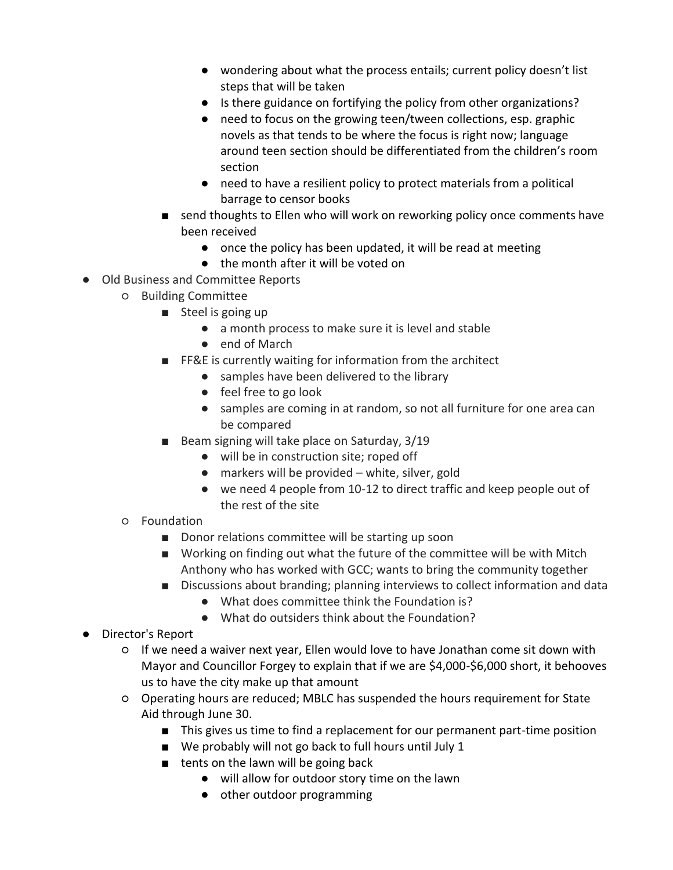- wondering about what the process entails; current policy doesn't list steps that will be taken
- Is there guidance on fortifying the policy from other organizations?
- need to focus on the growing teen/tween collections, esp. graphic novels as that tends to be where the focus is right now; language around teen section should be differentiated from the children's room section
- need to have a resilient policy to protect materials from a political barrage to censor books
- send thoughts to Ellen who will work on reworking policy once comments have been received
	- once the policy has been updated, it will be read at meeting
	- the month after it will be voted on
- Old Business and Committee Reports
	- Building Committee
		- Steel is going up
			- a month process to make sure it is level and stable
			- end of March
		- FF&E is currently waiting for information from the architect
			- samples have been delivered to the library
				- feel free to go look
				- samples are coming in at random, so not all furniture for one area can be compared
		- Beam signing will take place on Saturday, 3/19
			- will be in construction site; roped off
			- $\bullet$  markers will be provided white, silver, gold
			- we need 4 people from 10-12 to direct traffic and keep people out of the rest of the site
	- Foundation
		- Donor relations committee will be starting up soon
		- Working on finding out what the future of the committee will be with Mitch Anthony who has worked with GCC; wants to bring the community together
		- Discussions about branding; planning interviews to collect information and data
			- What does committee think the Foundation is?
			- What do outsiders think about the Foundation?
- Director's Report
	- If we need a waiver next year, Ellen would love to have Jonathan come sit down with Mayor and Councillor Forgey to explain that if we are \$4,000-\$6,000 short, it behooves us to have the city make up that amount
	- Operating hours are reduced; MBLC has suspended the hours requirement for State Aid through June 30.
		- This gives us time to find a replacement for our permanent part-time position
		- We probably will not go back to full hours until July 1
		- tents on the lawn will be going back
			- will allow for outdoor story time on the lawn
			- other outdoor programming